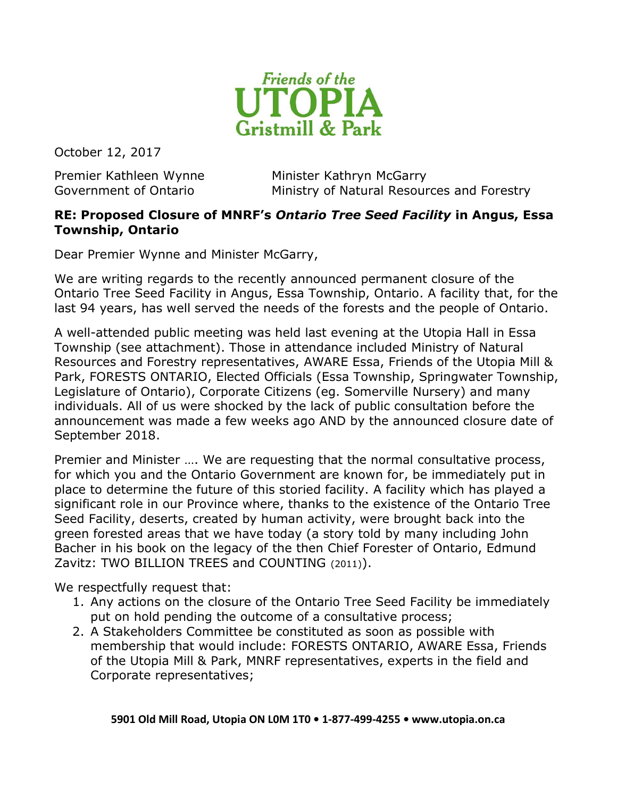

October 12, 2017

Premier Kathleen Wynne Minister Kathryn McGarry Government of Ontario **Ministry of Natural Resources and Forestry** 

## RE: Proposed Closure of MNRF's Ontario Tree Seed Facility in Angus, Essa Township, Ontario

Dear Premier Wynne and Minister McGarry,

We are writing regards to the recently announced permanent closure of the Ontario Tree Seed Facility in Angus, Essa Township, Ontario. A facility that, for the last 94 years, has well served the needs of the forests and the people of Ontario.

A well-attended public meeting was held last evening at the Utopia Hall in Essa Township (see attachment). Those in attendance included Ministry of Natural Resources and Forestry representatives, AWARE Essa, Friends of the Utopia Mill & Park, FORESTS ONTARIO, Elected Officials (Essa Township, Springwater Township, Legislature of Ontario), Corporate Citizens (eg. Somerville Nursery) and many individuals. All of us were shocked by the lack of public consultation before the announcement was made a few weeks ago AND by the announced closure date of September 2018.

Premier and Minister …. We are requesting that the normal consultative process, for which you and the Ontario Government are known for, be immediately put in place to determine the future of this storied facility. A facility which has played a significant role in our Province where, thanks to the existence of the Ontario Tree Seed Facility, deserts, created by human activity, were brought back into the green forested areas that we have today (a story told by many including John Bacher in his book on the legacy of the then Chief Forester of Ontario, Edmund Zavitz: TWO BILLION TREES and COUNTING (2011)).

We respectfully request that:

- 1. Any actions on the closure of the Ontario Tree Seed Facility be immediately put on hold pending the outcome of a consultative process;
- 2. A Stakeholders Committee be constituted as soon as possible with membership that would include: FORESTS ONTARIO, AWARE Essa, Friends of the Utopia Mill & Park, MNRF representatives, experts in the field and Corporate representatives;